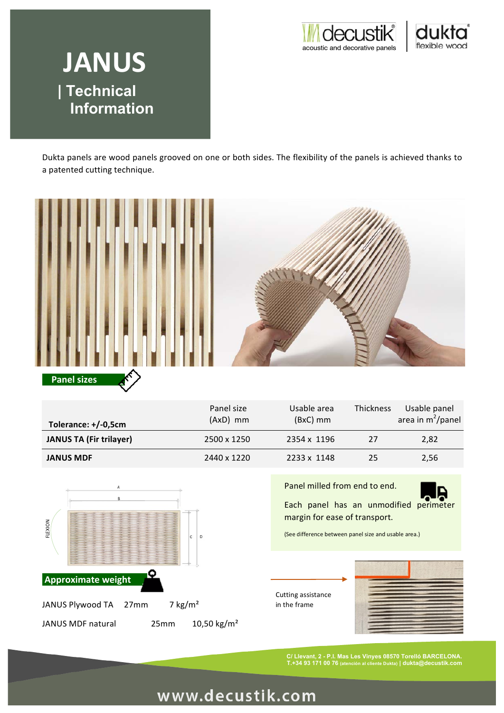



# **JANUS | Technical Information JANUS**

Dukta panels are wood panels grooved on one or both sides. The flexibility of the panels is achieved thanks to a patented cutting technique.



| Tolerance: +/-0,5cm            | Panel size<br>$(AxD)$ mm | Usable area<br>$(BxC)$ mm | Thickness | Usable panel<br>area in $m^2$ /panel |
|--------------------------------|--------------------------|---------------------------|-----------|--------------------------------------|
| <b>JANUS TA (Fir trilayer)</b> | 2500 x 1250              | 2354 x 1196               | 27        | 2,82                                 |
| <b>JANUS MDF</b>               | 2440 x 1220              | 2233 x 1148               | 25        | 2,56                                 |



Panel milled from end to end.



Each panel has an unmodified perimeter margin for ease of transport.

(See difference between panel size and usable area.)

Cutting assistance in the frame



**C/ Llevant, 2 - P.I. Mas Les Vinyes 08570 Torelló BARCELONA. T.+34 93 171 00 76 (atención al cliente Dukta) | dukta@decustik.com**

# www.decustik.com